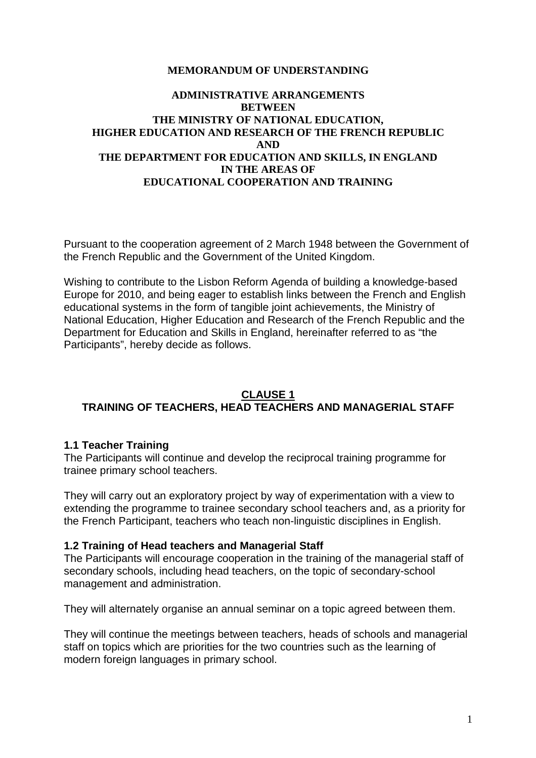#### **MEMORANDUM OF UNDERSTANDING**

#### **ADMINISTRATIVE ARRANGEMENTS BETWEEN THE MINISTRY OF NATIONAL EDUCATION, HIGHER EDUCATION AND RESEARCH OF THE FRENCH REPUBLIC AND THE DEPARTMENT FOR EDUCATION AND SKILLS, IN ENGLAND IN THE AREAS OF EDUCATIONAL COOPERATION AND TRAINING**

Pursuant to the cooperation agreement of 2 March 1948 between the Government of the French Republic and the Government of the United Kingdom.

Wishing to contribute to the Lisbon Reform Agenda of building a knowledge-based Europe for 2010, and being eager to establish links between the French and English educational systems in the form of tangible joint achievements, the Ministry of National Education, Higher Education and Research of the French Republic and the Department for Education and Skills in England, hereinafter referred to as "the Participants", hereby decide as follows.

### **CLAUSE 1 TRAINING OF TEACHERS, HEAD TEACHERS AND MANAGERIAL STAFF**

### **1.1 Teacher Training**

The Participants will continue and develop the reciprocal training programme for trainee primary school teachers.

They will carry out an exploratory project by way of experimentation with a view to extending the programme to trainee secondary school teachers and, as a priority for the French Participant, teachers who teach non-linguistic disciplines in English.

### **1.2 Training of Head teachers and Managerial Staff**

The Participants will encourage cooperation in the training of the managerial staff of secondary schools, including head teachers, on the topic of secondary-school management and administration.

They will alternately organise an annual seminar on a topic agreed between them.

They will continue the meetings between teachers, heads of schools and managerial staff on topics which are priorities for the two countries such as the learning of modern foreign languages in primary school.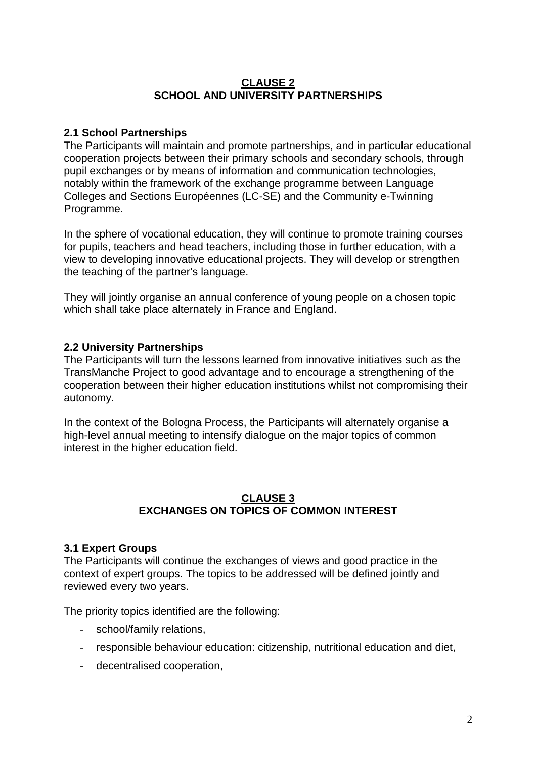## **CLAUSE 2 SCHOOL AND UNIVERSITY PARTNERSHIPS**

## **2.1 School Partnerships**

The Participants will maintain and promote partnerships, and in particular educational cooperation projects between their primary schools and secondary schools, through pupil exchanges or by means of information and communication technologies, notably within the framework of the exchange programme between Language Colleges and Sections Européennes (LC-SE) and the Community e-Twinning Programme.

In the sphere of vocational education, they will continue to promote training courses for pupils, teachers and head teachers, including those in further education, with a view to developing innovative educational projects. They will develop or strengthen the teaching of the partner's language.

They will jointly organise an annual conference of young people on a chosen topic which shall take place alternately in France and England.

# **2.2 University Partnerships**

The Participants will turn the lessons learned from innovative initiatives such as the TransManche Project to good advantage and to encourage a strengthening of the cooperation between their higher education institutions whilst not compromising their autonomy.

In the context of the Bologna Process, the Participants will alternately organise a high-level annual meeting to intensify dialogue on the major topics of common interest in the higher education field.

## **CLAUSE 3 EXCHANGES ON TOPICS OF COMMON INTEREST**

## **3.1 Expert Groups**

The Participants will continue the exchanges of views and good practice in the context of expert groups. The topics to be addressed will be defined jointly and reviewed every two years.

The priority topics identified are the following:

- school/family relations,
- responsible behaviour education: citizenship, nutritional education and diet,
- decentralised cooperation,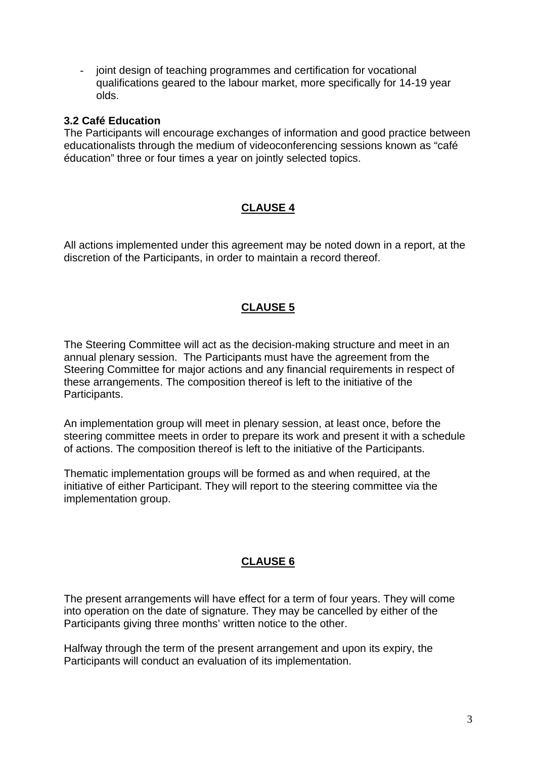- joint design of teaching programmes and certification for vocational qualifications geared to the labour market, more specifically for 14-19 year olds.

### **3.2 Café Education**

The Participants will encourage exchanges of information and good practice between educationalists through the medium of videoconferencing sessions known as "café éducation" three or four times a year on jointly selected topics.

# **CLAUSE 4**

All actions implemented under this agreement may be noted down in a report, at the discretion of the Participants, in order to maintain a record thereof.

## **CLAUSE 5**

The Steering Committee will act as the decision-making structure and meet in an annual plenary session. The Participants must have the agreement from the Steering Committee for major actions and any financial requirements in respect of these arrangements. The composition thereof is left to the initiative of the Participants.

An implementation group will meet in plenary session, at least once, before the steering committee meets in order to prepare its work and present it with a schedule of actions. The composition thereof is left to the initiative of the Participants.

Thematic implementation groups will be formed as and when required, at the initiative of either Participant. They will report to the steering committee via the implementation group.

## **CLAUSE 6**

The present arrangements will have effect for a term of four years. They will come into operation on the date of signature. They may be cancelled by either of the Participants giving three months' written notice to the other.

Halfway through the term of the present arrangement and upon its expiry, the Participants will conduct an evaluation of its implementation.